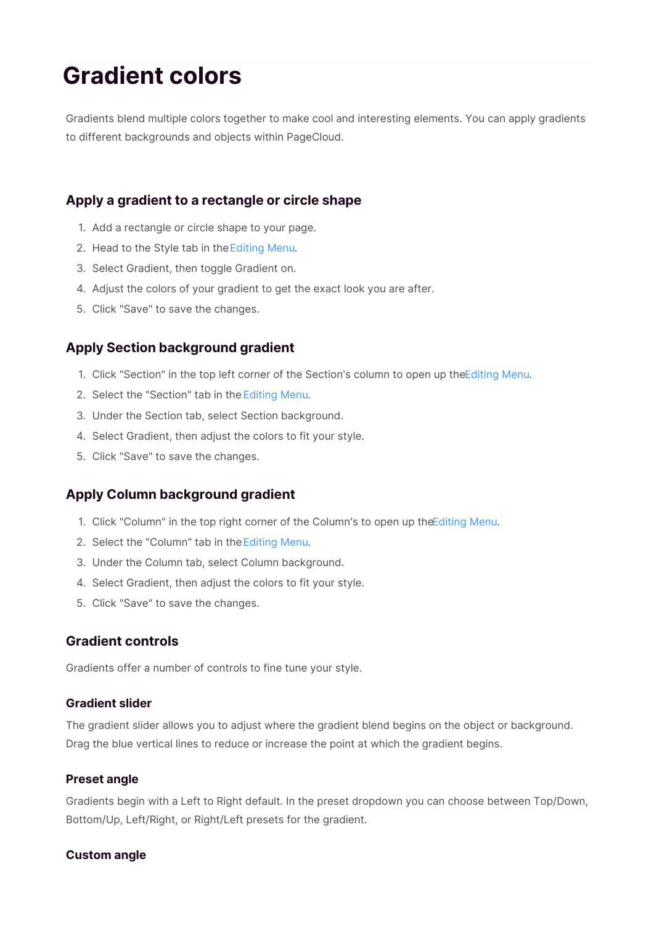# **Gradient colors**

Gradients blend multiple colors together to make cool and interesting elements. You can apply gradients to different backgrounds and objects within PageCloud.

## **Apply a gradient to a rectangle or circle shape**

- 1. Add a rectangle or circle shape to your page.
- 2. Head to the Style tab in the Editing Menu.
- 3. Select Gradient, then toggle Gradient on.
- 4. Adjust the colors of your gradient to get the exact look you are after.
- 5. Click "Save" to save the changes.

## **Apply Section background gradient**

- 1. Click "Section" in the top left corner of the Section's column to open up theEditing Menu.
- 2. Select the "Section" tab in the Editing Menu.
- 3. Under the Section tab, select Section background.
- 4. Select Gradient, then adjust the colors to fit your style.
- 5. Click "Save" to save the changes.

## **Apply Column background gradient**

- 1. Click "Column" in the top right corner of the Column's to open up theEditing Menu.
- 2. Select the "Column" tab in the Editing Menu.
- 3. Under the Column tab, select Column background.
- 4. Select Gradient, then adjust the colors to fit your style.
- 5. Click "Save" to save the changes.

### **Gradient controls**

Gradients offer a number of controls to fine tune your style.

### **Gradient slider**

The gradient slider allows you to adjust where the gradient blend begins on the object or background. Drag the blue vertical lines to reduce or increase the point at which the gradient begins.

#### **Preset angle**

Gradients begin with a Left to Right default. In the preset dropdown you can choose between Top/Down, Bottom/Up, Left/Right, or Right/Left presets for the gradient.

### **Custom angle**